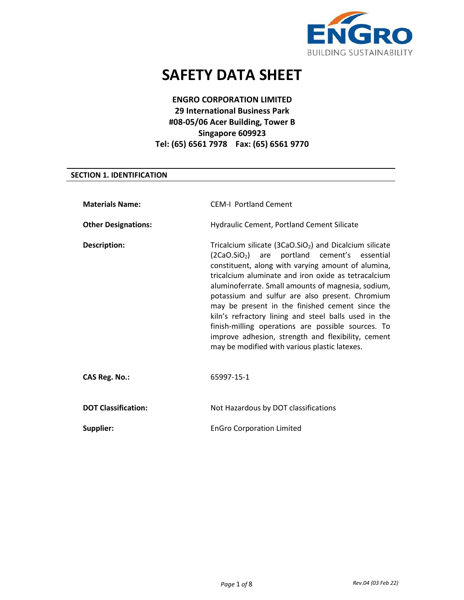

# **SAFETY DATA SHEET**

# **ENGRO CORPORATION LIMITED 29 International Business Park #08-05/06 Acer Building, Tower B Singapore 609923 Tel: (65) 6561 7978 Fax: (65) 6561 9770**

# **SECTION 1. IDENTIFICATION**

| <b>Materials Name:</b>     | <b>CEM-I Portland Cement</b>                                                                                                                                                                                                                                                                                                                                                                                                                                                                                                                                                                                       |
|----------------------------|--------------------------------------------------------------------------------------------------------------------------------------------------------------------------------------------------------------------------------------------------------------------------------------------------------------------------------------------------------------------------------------------------------------------------------------------------------------------------------------------------------------------------------------------------------------------------------------------------------------------|
| <b>Other Designations:</b> | Hydraulic Cement, Portland Cement Silicate                                                                                                                                                                                                                                                                                                                                                                                                                                                                                                                                                                         |
| Description:               | Tricalcium silicate $(3CaO.SiO2)$ and Dicalcium silicate<br>(2CaO.SiO <sub>2</sub> ) are portland cement's essential<br>constituent, along with varying amount of alumina,<br>tricalcium aluminate and iron oxide as tetracalcium<br>aluminoferrate. Small amounts of magnesia, sodium,<br>potassium and sulfur are also present. Chromium<br>may be present in the finished cement since the<br>kiln's refractory lining and steel balls used in the<br>finish-milling operations are possible sources. To<br>improve adhesion, strength and flexibility, cement<br>may be modified with various plastic latexes. |
| <b>CAS Reg. No.:</b>       | 65997-15-1                                                                                                                                                                                                                                                                                                                                                                                                                                                                                                                                                                                                         |
| <b>DOT Classification:</b> | Not Hazardous by DOT classifications                                                                                                                                                                                                                                                                                                                                                                                                                                                                                                                                                                               |
| Supplier:                  | <b>EnGro Corporation Limited</b>                                                                                                                                                                                                                                                                                                                                                                                                                                                                                                                                                                                   |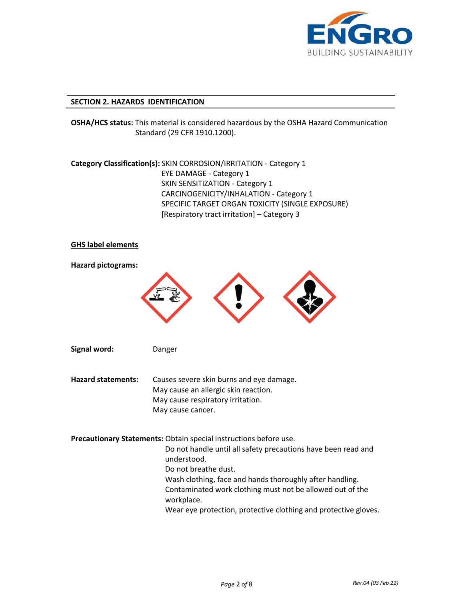

#### **SECTION 2. HAZARDS IDENTIFICATION**

**OSHA/HCS status:** This material is considered hazardous by the OSHA Hazard Communication Standard (29 CFR 1910.1200).

**Category Classification(s):** SKIN CORROSION/IRRITATION - Category 1 EYE DAMAGE - Category 1 SKIN SENSITIZATION - Category 1 CARCINOGENICITY/INHALATION - Category 1 SPECIFIC TARGET ORGAN TOXICITY (SINGLE EXPOSURE) [Respiratory tract irritation] – Category 3

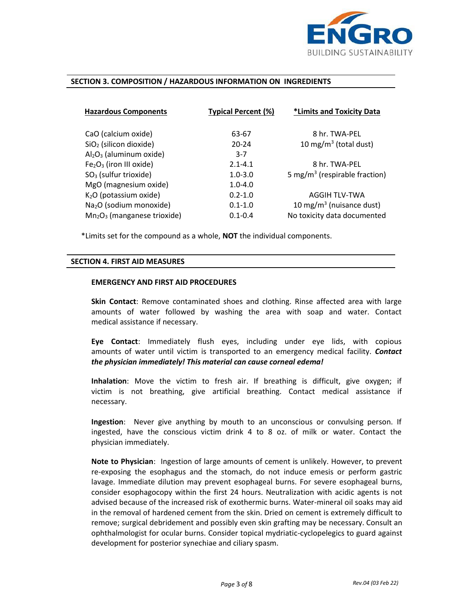

#### **SECTION 3. COMPOSITION / HAZARDOUS INFORMATION ON INGREDIENTS**

| <b>Typical Percent (%)</b><br><b>Hazardous Components</b> |             | *Limits and Toxicity Data                 |  |
|-----------------------------------------------------------|-------------|-------------------------------------------|--|
|                                                           |             |                                           |  |
| CaO (calcium oxide)                                       | 63-67       | 8 hr. TWA-PFL                             |  |
| $SiO2$ (silicon dioxide)                                  | $20 - 24$   | 10 mg/m <sup>3</sup> (total dust)         |  |
| $Al_2O_3$ (aluminum oxide)                                | $3 - 7$     |                                           |  |
| $Fe2O3$ (iron III oxide)                                  | $2.1 - 4.1$ | 8 hr. TWA-PFL                             |  |
| $SO3$ (sulfur trioxide)                                   | $1.0 - 3.0$ | 5 mg/m <sup>3</sup> (respirable fraction) |  |
| MgO (magnesium oxide)                                     | $1.0 - 4.0$ |                                           |  |
| K <sub>2</sub> O (potassium oxide)                        | $0.2 - 1.0$ | AGGIH TLV-TWA                             |  |
| Na <sub>2</sub> O (sodium monoxide)                       | $0.1 - 1.0$ | 10 mg/m <sup>3</sup> (nuisance dust)      |  |
| $Mn2O3$ (manganese trioxide)                              | $0.1 - 0.4$ | No toxicity data documented               |  |

\*Limits set for the compound as a whole, **NOT** the individual components.

#### **SECTION 4. FIRST AID MEASURES**

#### **EMERGENCY AND FIRST AID PROCEDURES**

**Skin Contact**: Remove contaminated shoes and clothing. Rinse affected area with large amounts of water followed by washing the area with soap and water. Contact medical assistance if necessary.

**Eye Contact**: Immediately flush eyes, including under eye lids, with copious amounts of water until victim is transported to an emergency medical facility. *Contact the physician immediately! This material can cause corneal edema!*

**Inhalation**: Move the victim to fresh air. If breathing is difficult, give oxygen; if victim is not breathing, give artificial breathing. Contact medical assistance if necessary.

**Ingestion**:Never give anything by mouth to an unconscious or convulsing person. If ingested, have the conscious victim drink 4 to 8 oz. of milk or water. Contact the physician immediately.

**Note to Physician**:Ingestion of large amounts of cement is unlikely. However, to prevent re-exposing the esophagus and the stomach, do not induce emesis or perform gastric lavage. Immediate dilution may prevent esophageal burns. For severe esophageal burns, consider esophagocopy within the first 24 hours. Neutralization with acidic agents is not advised because of the increased risk of exothermic burns. Water-mineral oil soaks may aid in the removal of hardened cement from the skin. Dried on cement is extremely difficult to remove; surgical debridement and possibly even skin grafting may be necessary. Consult an ophthalmologist for ocular burns. Consider topical mydriatic-cyclopelegics to guard against development for posterior synechiae and ciliary spasm.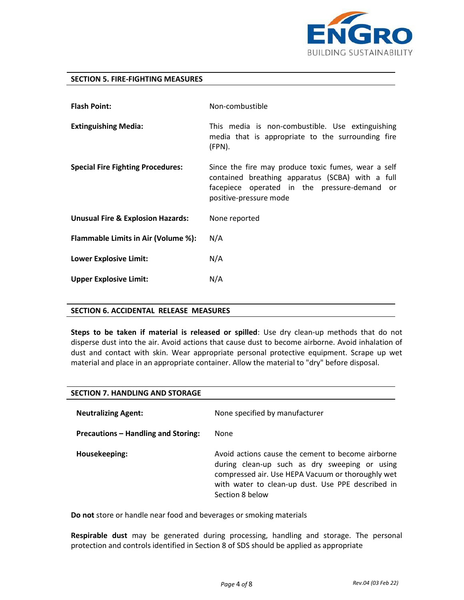

## **SECTION 5. FIRE-FIGHTING MEASURES**

| <b>Flash Point:</b>                          | Non-combustible                                                                                                                                                                      |  |
|----------------------------------------------|--------------------------------------------------------------------------------------------------------------------------------------------------------------------------------------|--|
| <b>Extinguishing Media:</b>                  | This media is non-combustible. Use extinguishing<br>media that is appropriate to the surrounding fire<br>(FPN).                                                                      |  |
| <b>Special Fire Fighting Procedures:</b>     | Since the fire may produce toxic fumes, wear a self<br>contained breathing apparatus (SCBA) with a full<br>facepiece operated in the pressure-demand<br>or<br>positive-pressure mode |  |
| <b>Unusual Fire &amp; Explosion Hazards:</b> | None reported                                                                                                                                                                        |  |
| Flammable Limits in Air (Volume %):          | N/A                                                                                                                                                                                  |  |
| <b>Lower Explosive Limit:</b>                | N/A                                                                                                                                                                                  |  |
| <b>Upper Explosive Limit:</b>                | N/A                                                                                                                                                                                  |  |

#### **SECTION 6. ACCIDENTAL RELEASE MEASURES**

**Steps to be taken if material is released or spilled**: Use dry clean-up methods that do not disperse dust into the air. Avoid actions that cause dust to become airborne. Avoid inhalation of dust and contact with skin. Wear appropriate personal protective equipment. Scrape up wet material and place in an appropriate container. Allow the material to "dry" before disposal.

| <b>SECTION 7. HANDLING AND STORAGE</b> |                                                                                                                                                                                                                                 |
|----------------------------------------|---------------------------------------------------------------------------------------------------------------------------------------------------------------------------------------------------------------------------------|
| <b>Neutralizing Agent:</b>             | None specified by manufacturer                                                                                                                                                                                                  |
| Precautions - Handling and Storing:    | None                                                                                                                                                                                                                            |
| Housekeeping:                          | Avoid actions cause the cement to become airborne<br>during clean-up such as dry sweeping or using<br>compressed air. Use HEPA Vacuum or thoroughly wet<br>with water to clean-up dust. Use PPE described in<br>Section 8 below |

**Do not** store or handle near food and beverages or smoking materials

**Respirable dust** may be generated during processing, handling and storage. The personal protection and controls identified in Section 8 of SDS should be applied as appropriate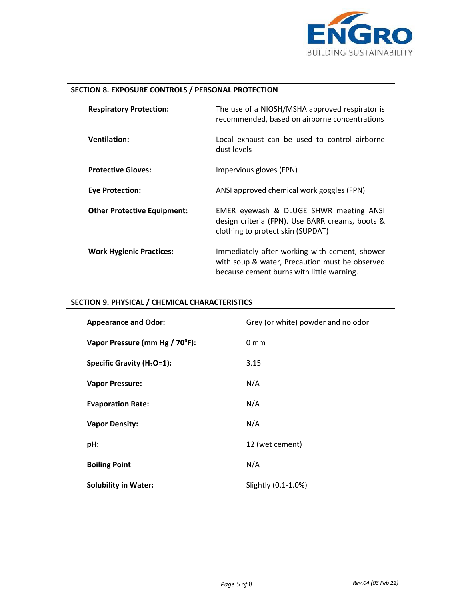

# **SECTION 8. EXPOSURE CONTROLS / PERSONAL PROTECTION**

| <b>Respiratory Protection:</b>     | The use of a NIOSH/MSHA approved respirator is<br>recommended, based on airborne concentrations                                              |
|------------------------------------|----------------------------------------------------------------------------------------------------------------------------------------------|
| <b>Ventilation:</b>                | Local exhaust can be used to control airborne<br>dust levels                                                                                 |
| <b>Protective Gloves:</b>          | Impervious gloves (FPN)                                                                                                                      |
| <b>Eye Protection:</b>             | ANSI approved chemical work goggles (FPN)                                                                                                    |
| <b>Other Protective Equipment:</b> | EMER eyewash & DLUGE SHWR meeting ANSI<br>design criteria (FPN). Use BARR creams, boots &<br>clothing to protect skin (SUPDAT)               |
| <b>Work Hygienic Practices:</b>    | Immediately after working with cement, shower<br>with soup & water, Precaution must be observed<br>because cement burns with little warning. |

# **SECTION 9. PHYSICAL / CHEMICAL CHARACTERISTICS**

| <b>Appearance and Odor:</b>                 | Grey (or white) powder and no odor |
|---------------------------------------------|------------------------------------|
| Vapor Pressure (mm Hg / 70 <sup>°</sup> F): | $0 \text{ mm}$                     |
| Specific Gravity (H <sub>2</sub> O=1):      | 3.15                               |
| <b>Vapor Pressure:</b>                      | N/A                                |
| <b>Evaporation Rate:</b>                    | N/A                                |
| <b>Vapor Density:</b>                       | N/A                                |
| pH:                                         | 12 (wet cement)                    |
| <b>Boiling Point</b>                        | N/A                                |
| <b>Solubility in Water:</b>                 | Slightly (0.1-1.0%)                |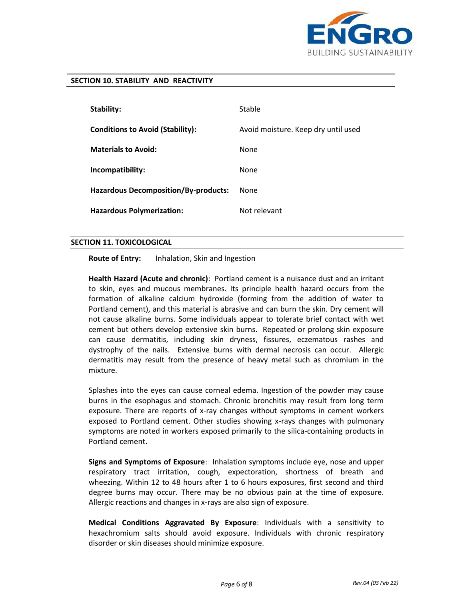

#### **SECTION 10. STABILITY AND REACTIVITY**

| Stability:                                  | Stable                              |
|---------------------------------------------|-------------------------------------|
| <b>Conditions to Avoid (Stability):</b>     | Avoid moisture. Keep dry until used |
| <b>Materials to Avoid:</b>                  | <b>None</b>                         |
| Incompatibility:                            | <b>None</b>                         |
| <b>Hazardous Decomposition/By-products:</b> | None                                |
| <b>Hazardous Polymerization:</b>            | Not relevant                        |

#### **SECTION 11. TOXICOLOGICAL**

**Route of Entry:** Inhalation, Skin and Ingestion

**Health Hazard (Acute and chronic)**:Portland cement is a nuisance dust and an irritant to skin, eyes and mucous membranes. Its principle health hazard occurs from the formation of alkaline calcium hydroxide (forming from the addition of water to Portland cement), and this material is abrasive and can burn the skin. Dry cement will not cause alkaline burns. Some individuals appear to tolerate brief contact with wet cement but others develop extensive skin burns. Repeated or prolong skin exposure can cause dermatitis, including skin dryness, fissures, eczematous rashes and dystrophy of the nails. Extensive burns with dermal necrosis can occur. Allergic dermatitis may result from the presence of heavy metal such as chromium in the mixture.

Splashes into the eyes can cause corneal edema. Ingestion of the powder may cause burns in the esophagus and stomach. Chronic bronchitis may result from long term exposure. There are reports of x-ray changes without symptoms in cement workers exposed to Portland cement. Other studies showing x-rays changes with pulmonary symptoms are noted in workers exposed primarily to the silica-containing products in Portland cement.

**Signs and Symptoms of Exposure**:Inhalation symptoms include eye, nose and upper respiratory tract irritation, cough, expectoration, shortness of breath and wheezing. Within 12 to 48 hours after 1 to 6 hours exposures, first second and third degree burns may occur. There may be no obvious pain at the time of exposure. Allergic reactions and changes in x-rays are also sign of exposure.

**Medical Conditions Aggravated By Exposure**: Individuals with a sensitivity to hexachromium salts should avoid exposure. Individuals with chronic respiratory disorder or skin diseases should minimize exposure.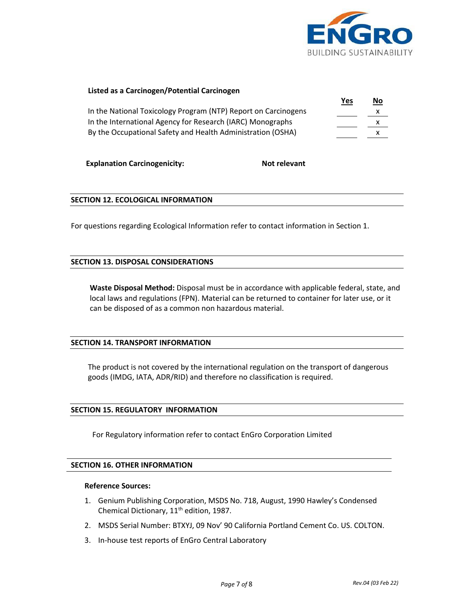

# **Listed as a Carcinogen/Potential Carcinogen**

|                                                                | Yes | <u>No</u> |
|----------------------------------------------------------------|-----|-----------|
| In the National Toxicology Program (NTP) Report on Carcinogens |     | x         |
| In the International Agency for Research (IARC) Monographs     |     | x         |
| By the Occupational Safety and Health Administration (OSHA)    |     |           |

**Explanation Carcinogenicity:** Not relevant

## **SECTION 12. ECOLOGICAL INFORMATION**

For questions regarding Ecological Information refer to contact information in Section 1.

# **SECTION 13. DISPOSAL CONSIDERATIONS**

 **Waste Disposal Method:** Disposal must be in accordance with applicable federal, state, and local laws and regulations (FPN). Material can be returned to container for later use, or it can be disposed of as a common non hazardous material.

# **SECTION 14. TRANSPORT INFORMATION**

The product is not covered by the international regulation on the transport of dangerous goods (IMDG, IATA, ADR/RID) and therefore no classification is required.

#### **SECTION 15. REGULATORY INFORMATION**

For Regulatory information refer to contact EnGro Corporation Limited

#### **SECTION 16. OTHER INFORMATION**

#### **Reference Sources:**

- 1. Genium Publishing Corporation, MSDS No. 718, August, 1990 Hawley's Condensed Chemical Dictionary, 11<sup>th</sup> edition, 1987.
- 2. MSDS Serial Number: BTXYJ, 09 Nov' 90 California Portland Cement Co. US. COLTON.
- 3. In-house test reports of EnGro Central Laboratory